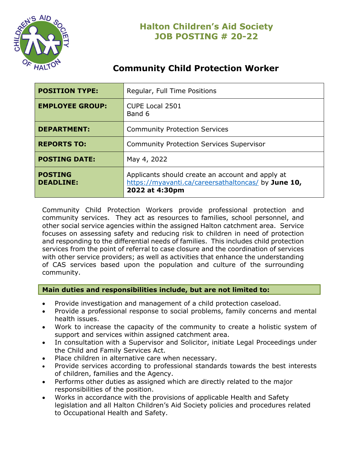

# **Community Child Protection Worker**

| <b>POSITION TYPE:</b>              | Regular, Full Time Positions                                                                                              |
|------------------------------------|---------------------------------------------------------------------------------------------------------------------------|
| <b>EMPLOYEE GROUP:</b>             | <b>CUPE Local 2501</b><br>Band 6                                                                                          |
| <b>DEPARTMENT:</b>                 | <b>Community Protection Services</b>                                                                                      |
| <b>REPORTS TO:</b>                 | <b>Community Protection Services Supervisor</b>                                                                           |
| <b>POSTING DATE:</b>               | May 4, 2022                                                                                                               |
| <b>POSTING</b><br><b>DEADLINE:</b> | Applicants should create an account and apply at<br>https://myavanti.ca/careersathaltoncas/ by June 10,<br>2022 at 4:30pm |

Community Child Protection Workers provide professional protection and community services. They act as resources to families, school personnel, and other social service agencies within the assigned Halton catchment area. Service focuses on assessing safety and reducing risk to children in need of protection and responding to the differential needs of families. This includes child protection services from the point of referral to case closure and the coordination of services with other service providers; as well as activities that enhance the understanding of CAS services based upon the population and culture of the surrounding community.

## **Main duties and responsibilities include, but are not limited to:**

- Provide investigation and management of a child protection caseload.
- Provide a professional response to social problems, family concerns and mental health issues.
- Work to increase the capacity of the community to create a holistic system of support and services within assigned catchment area.
- In consultation with a Supervisor and Solicitor, initiate Legal Proceedings under the Child and Family Services Act.
- Place children in alternative care when necessary.
- Provide services according to professional standards towards the best interests of children, families and the Agency.
- Performs other duties as assigned which are directly related to the major responsibilities of the position.
- Works in accordance with the provisions of applicable Health and Safety legislation and all Halton Children's Aid Society policies and procedures related to Occupational Health and Safety.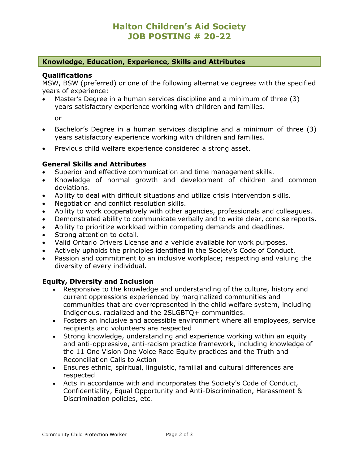# **Halton Children's Aid Society JOB POSTING # 20-22**

### **Knowledge, Education, Experience, Skills and Attributes**

#### **Qualifications**

MSW, BSW (preferred) or one of the following alternative degrees with the specified years of experience:

• Master's Degree in a human services discipline and a minimum of three (3) years satisfactory experience working with children and families.

or

- Bachelor's Degree in a human services discipline and a minimum of three (3) years satisfactory experience working with children and families.
- Previous child welfare experience considered a strong asset.

#### **General Skills and Attributes**

- Superior and effective communication and time management skills.
- Knowledge of normal growth and development of children and common deviations.
- Ability to deal with difficult situations and utilize crisis intervention skills.
- Negotiation and conflict resolution skills.
- Ability to work cooperatively with other agencies, professionals and colleagues.
- Demonstrated ability to communicate verbally and to write clear, concise reports.
- Ability to prioritize workload within competing demands and deadlines.
- Strong attention to detail.
- Valid Ontario Drivers License and a vehicle available for work purposes.
- Actively upholds the principles identified in the Society's Code of Conduct.
- Passion and commitment to an inclusive workplace; respecting and valuing the diversity of every individual.

#### **Equity, Diversity and Inclusion**

- Responsive to the knowledge and understanding of the culture, history and current oppressions experienced by marginalized communities and communities that are overrepresented in the child welfare system, including Indigenous, racialized and the 2SLGBTQ+ communities.
- Fosters an inclusive and accessible environment where all employees, service recipients and volunteers are respected
- Strong knowledge, understanding and experience working within an equity and anti-oppressive, anti-racism practice framework, including knowledge of the 11 One Vision One Voice Race Equity practices and the Truth and Reconciliation Calls to Action
- Ensures ethnic, spiritual, linguistic, familial and cultural differences are respected
- Acts in accordance with and incorporates the Society's Code of Conduct, Confidentiality, Equal Opportunity and Anti-Discrimination, Harassment & Discrimination policies, etc.